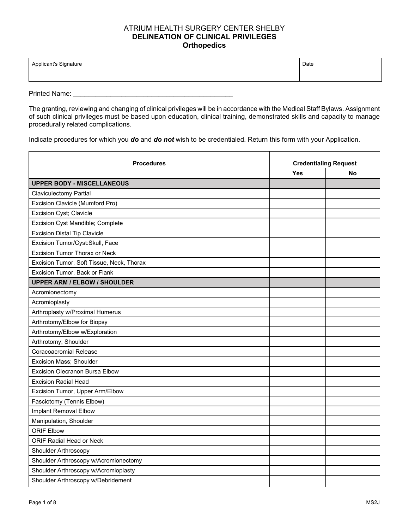## ATRIUM HEALTH SURGERY CENTER SHELBY **DELINEATION OF CLINICAL PRIVILEGES Orthopedics**

| Applicant's Signature | Date |
|-----------------------|------|
|                       |      |

Printed Name: \_\_\_\_\_\_\_\_\_\_\_\_\_\_\_\_\_\_\_\_\_\_\_\_\_\_\_\_\_\_\_\_\_\_\_\_\_\_\_\_\_\_\_

The granting, reviewing and changing of clinical privileges will be in accordance with the Medical Staff Bylaws. Assignment of such clinical privileges must be based upon education, clinical training, demonstrated skills and capacity to manage procedurally related complications.

Indicate procedures for which you *do* and *do not* wish to be credentialed. Return this form with your Application.

| <b>Procedures</b>                         | <b>Credentialing Request</b> |           |
|-------------------------------------------|------------------------------|-----------|
|                                           | <b>Yes</b>                   | <b>No</b> |
| <b>UPPER BODY - MISCELLANEOUS</b>         |                              |           |
| <b>Claviculectomy Partial</b>             |                              |           |
| Excision Clavicle (Mumford Pro)           |                              |           |
| Excision Cyst; Clavicle                   |                              |           |
| Excision Cyst Mandible; Complete          |                              |           |
| <b>Excision Distal Tip Clavicle</b>       |                              |           |
| Excision Tumor/Cyst:Skull, Face           |                              |           |
| <b>Excision Tumor Thorax or Neck</b>      |                              |           |
| Excision Tumor, Soft Tissue, Neck, Thorax |                              |           |
| Excision Tumor, Back or Flank             |                              |           |
| <b>UPPER ARM / ELBOW / SHOULDER</b>       |                              |           |
| Acromionectomy                            |                              |           |
| Acromioplasty                             |                              |           |
| Arthroplasty w/Proximal Humerus           |                              |           |
| Arthrotomy/Elbow for Biopsy               |                              |           |
| Arthrotomy/Elbow w/Exploration            |                              |           |
| Arthrotomy; Shoulder                      |                              |           |
| Coracoacromial Release                    |                              |           |
| Excision Mass; Shoulder                   |                              |           |
| <b>Excision Olecranon Bursa Elbow</b>     |                              |           |
| <b>Excision Radial Head</b>               |                              |           |
| Excision Tumor, Upper Arm/Elbow           |                              |           |
| Fasciotomy (Tennis Elbow)                 |                              |           |
| Implant Removal Elbow                     |                              |           |
| Manipulation, Shoulder                    |                              |           |
| <b>ORIF Elbow</b>                         |                              |           |
| <b>ORIF Radial Head or Neck</b>           |                              |           |
| Shoulder Arthroscopy                      |                              |           |
| Shoulder Arthroscopy w/Acromionectomy     |                              |           |
| Shoulder Arthroscopy w/Acromioplasty      |                              |           |
| Shoulder Arthroscopy w/Debridement        |                              |           |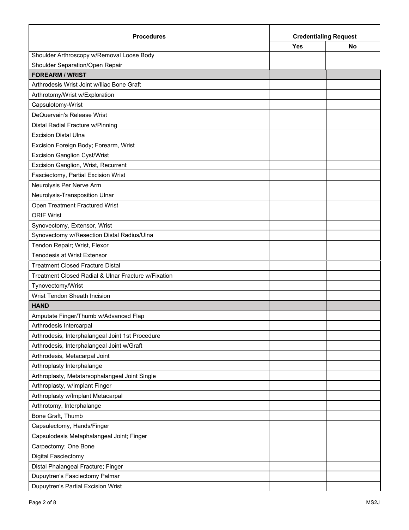| <b>Procedures</b>                                   | <b>Credentialing Request</b> |    |
|-----------------------------------------------------|------------------------------|----|
|                                                     | Yes                          | No |
| Shoulder Arthroscopy w/Removal Loose Body           |                              |    |
| Shoulder Separation/Open Repair                     |                              |    |
| <b>FOREARM / WRIST</b>                              |                              |    |
| Arthrodesis Wrist Joint w/lliac Bone Graft          |                              |    |
| Arthrotomy/Wrist w/Exploration                      |                              |    |
| Capsulotomy-Wrist                                   |                              |    |
| DeQuervain's Release Wrist                          |                              |    |
| Distal Radial Fracture w/Pinning                    |                              |    |
| <b>Excision Distal Ulna</b>                         |                              |    |
| Excision Foreign Body; Forearm, Wrist               |                              |    |
| <b>Excision Ganglion Cyst/Wrist</b>                 |                              |    |
| Excision Ganglion, Wrist, Recurrent                 |                              |    |
| Fasciectomy, Partial Excision Wrist                 |                              |    |
| Neurolysis Per Nerve Arm                            |                              |    |
| Neurolysis-Transposition Ulnar                      |                              |    |
| Open Treatment Fractured Wrist                      |                              |    |
| <b>ORIF Wrist</b>                                   |                              |    |
| Synovectomy, Extensor, Wrist                        |                              |    |
| Synovectomy w/Resection Distal Radius/Ulna          |                              |    |
| Tendon Repair; Wrist, Flexor                        |                              |    |
| <b>Tenodesis at Wrist Extensor</b>                  |                              |    |
| <b>Treatment Closed Fracture Distal</b>             |                              |    |
| Treatment Closed Radial & Ulnar Fracture w/Fixation |                              |    |
| Tynovectomy/Wrist                                   |                              |    |
| Wrist Tendon Sheath Incision                        |                              |    |
| <b>HAND</b>                                         |                              |    |
| Amputate Finger/Thumb w/Advanced Flap               |                              |    |
| Arthrodesis Intercarpal                             |                              |    |
| Arthrodesis, Interphalangeal Joint 1st Procedure    |                              |    |
| Arthrodesis, Interphalangeal Joint w/Graft          |                              |    |
| Arthrodesis, Metacarpal Joint                       |                              |    |
| Arthroplasty Interphalange                          |                              |    |
| Arthroplasty, Metatarsophalangeal Joint Single      |                              |    |
| Arthroplasty, w/Implant Finger                      |                              |    |
| Arthroplasty w/Implant Metacarpal                   |                              |    |
| Arthrotomy, Interphalange                           |                              |    |
| Bone Graft, Thumb                                   |                              |    |
| Capsulectomy, Hands/Finger                          |                              |    |
| Capsulodesis Metaphalangeal Joint; Finger           |                              |    |
| Carpectomy; One Bone                                |                              |    |
| Digital Fasciectomy                                 |                              |    |
| Distal Phalangeal Fracture; Finger                  |                              |    |
| Dupuytren's Fasciectomy Palmar                      |                              |    |
| Dupuytren's Partial Excision Wrist                  |                              |    |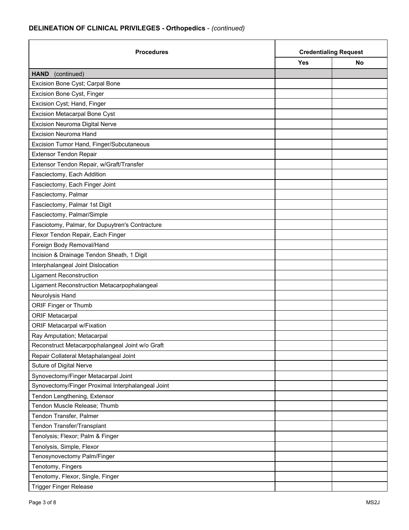| <b>Procedures</b><br><b>Yes</b>                   | <b>Credentialing Request</b> |    |
|---------------------------------------------------|------------------------------|----|
|                                                   |                              | No |
| <b>HAND</b><br>(continued)                        |                              |    |
| Excision Bone Cyst; Carpal Bone                   |                              |    |
| Excision Bone Cyst, Finger                        |                              |    |
| Excision Cyst; Hand, Finger                       |                              |    |
| <b>Excision Metacarpal Bone Cyst</b>              |                              |    |
| Excision Neuroma Digital Nerve                    |                              |    |
| <b>Excision Neuroma Hand</b>                      |                              |    |
| Excision Tumor Hand, Finger/Subcutaneous          |                              |    |
| <b>Extensor Tendon Repair</b>                     |                              |    |
| Extensor Tendon Repair, w/Graft/Transfer          |                              |    |
| Fasciectomy, Each Addition                        |                              |    |
| Fasciectomy, Each Finger Joint                    |                              |    |
| Fasciectomy, Palmar                               |                              |    |
| Fasciectomy, Palmar 1st Digit                     |                              |    |
| Fasciectomy, Palmar/Simple                        |                              |    |
| Fasciotomy, Palmar, for Dupuytren's Contracture   |                              |    |
| Flexor Tendon Repair, Each Finger                 |                              |    |
| Foreign Body Removal/Hand                         |                              |    |
| Incision & Drainage Tendon Sheath, 1 Digit        |                              |    |
| Interphalangeal Joint Dislocation                 |                              |    |
| <b>Ligament Reconstruction</b>                    |                              |    |
| Ligament Reconstruction Metacarpophalangeal       |                              |    |
| Neurolysis Hand                                   |                              |    |
| ORIF Finger or Thumb                              |                              |    |
| <b>ORIF Metacarpal</b>                            |                              |    |
| <b>ORIF Metacarpal w/Fixation</b>                 |                              |    |
| Ray Amputation; Metacarpal                        |                              |    |
| Reconstruct Metacarpophalangeal Joint w/o Graft   |                              |    |
| Repair Collateral Metaphalangeal Joint            |                              |    |
| Suture of Digital Nerve                           |                              |    |
| Synovectomy/Finger Metacarpal Joint               |                              |    |
| Synovectomy/Finger Proximal Interphalangeal Joint |                              |    |
| Tendon Lengthening, Extensor                      |                              |    |
| Tendon Muscle Release; Thumb                      |                              |    |
| Tendon Transfer, Palmer                           |                              |    |
| Tendon Transfer/Transplant                        |                              |    |
| Tenolysis; Flexor; Palm & Finger                  |                              |    |
| Tenolysis, Simple, Flexor                         |                              |    |
| Tenosynovectomy Palm/Finger                       |                              |    |
| Tenotomy, Fingers                                 |                              |    |
| Tenotomy, Flexor, Single, Finger                  |                              |    |
| <b>Trigger Finger Release</b>                     |                              |    |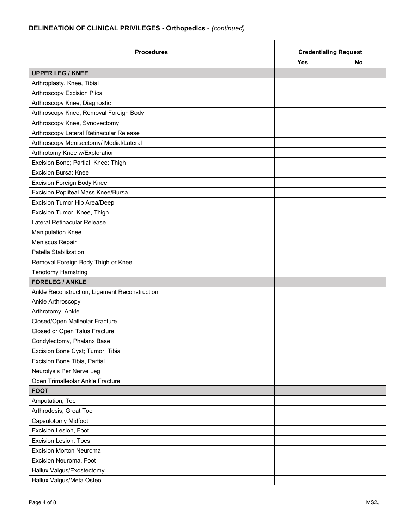| <b>Procedures</b>                             | <b>Credentialing Request</b> |           |
|-----------------------------------------------|------------------------------|-----------|
|                                               | <b>Yes</b>                   | <b>No</b> |
| <b>UPPER LEG / KNEE</b>                       |                              |           |
| Arthroplasty, Knee, Tibial                    |                              |           |
| Arthroscopy Excision Plica                    |                              |           |
| Arthroscopy Knee, Diagnostic                  |                              |           |
| Arthroscopy Knee, Removal Foreign Body        |                              |           |
| Arthroscopy Knee, Synovectomy                 |                              |           |
| Arthroscopy Lateral Retinacular Release       |                              |           |
| Arthroscopy Menisectomy/ Medial/Lateral       |                              |           |
| Arthrotomy Knee w/Exploration                 |                              |           |
| Excision Bone; Partial; Knee; Thigh           |                              |           |
| Excision Bursa; Knee                          |                              |           |
| <b>Excision Foreign Body Knee</b>             |                              |           |
| Excision Popliteal Mass Knee/Bursa            |                              |           |
| Excision Tumor Hip Area/Deep                  |                              |           |
| Excision Tumor; Knee, Thigh                   |                              |           |
| Lateral Retinacular Release                   |                              |           |
| <b>Manipulation Knee</b>                      |                              |           |
| Meniscus Repair                               |                              |           |
| Patella Stabilization                         |                              |           |
| Removal Foreign Body Thigh or Knee            |                              |           |
| <b>Tenotomy Hamstring</b>                     |                              |           |
| <b>FORELEG / ANKLE</b>                        |                              |           |
| Ankle Reconstruction; Ligament Reconstruction |                              |           |
| Ankle Arthroscopy                             |                              |           |
| Arthrotomy, Ankle                             |                              |           |
| Closed/Open Malleolar Fracture                |                              |           |
| Closed or Open Talus Fracture                 |                              |           |
| Condylectomy, Phalanx Base                    |                              |           |
| Excision Bone Cyst; Tumor; Tibia              |                              |           |
| Excision Bone Tibia, Partial                  |                              |           |
| Neurolysis Per Nerve Leg                      |                              |           |
| Open Trimalleolar Ankle Fracture              |                              |           |
| <b>FOOT</b>                                   |                              |           |
| Amputation, Toe                               |                              |           |
| Arthrodesis, Great Toe                        |                              |           |
| Capsulotomy Midfoot                           |                              |           |
| Excision Lesion, Foot                         |                              |           |
| Excision Lesion, Toes                         |                              |           |
| Excision Morton Neuroma                       |                              |           |
| Excision Neuroma, Foot                        |                              |           |
| Hallux Valgus/Exostectomy                     |                              |           |
| Hallux Valgus/Meta Osteo                      |                              |           |

'n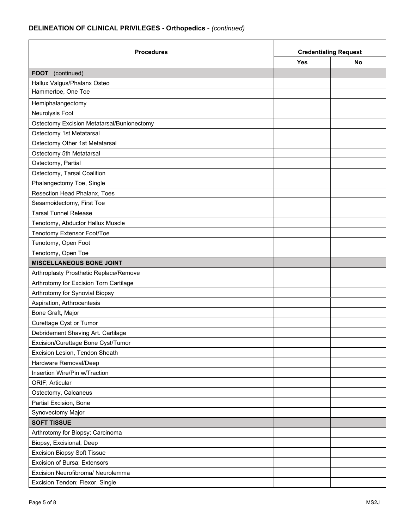| <b>Procedures</b>                          | <b>Credentialing Request</b> |    |
|--------------------------------------------|------------------------------|----|
|                                            | <b>Yes</b>                   | No |
| FOOT (continued)                           |                              |    |
| Hallux Valgus/Phalanx Osteo                |                              |    |
| Hammertoe, One Toe                         |                              |    |
| Hemiphalangectomy                          |                              |    |
| Neurolysis Foot                            |                              |    |
| Ostectomy Excision Metatarsal/Bunionectomy |                              |    |
| Ostectomy 1st Metatarsal                   |                              |    |
| Ostectomy Other 1st Metatarsal             |                              |    |
| Ostectomy 5th Metatarsal                   |                              |    |
| Ostectomy, Partial                         |                              |    |
| Ostectomy, Tarsal Coalition                |                              |    |
| Phalangectomy Toe, Single                  |                              |    |
| Resection Head Phalanx, Toes               |                              |    |
| Sesamoidectomy, First Toe                  |                              |    |
| <b>Tarsal Tunnel Release</b>               |                              |    |
| Tenotomy, Abductor Hallux Muscle           |                              |    |
| Tenotomy Extensor Foot/Toe                 |                              |    |
| Tenotomy, Open Foot                        |                              |    |
| Tenotomy, Open Toe                         |                              |    |
| <b>MISCELLANEOUS BONE JOINT</b>            |                              |    |
| Arthroplasty Prosthetic Replace/Remove     |                              |    |
| Arthrotomy for Excision Torn Cartilage     |                              |    |
| Arthrotomy for Synovial Biopsy             |                              |    |
| Aspiration, Arthrocentesis                 |                              |    |
| Bone Graft, Major                          |                              |    |
| Curettage Cyst or Tumor                    |                              |    |
| Debridement Shaving Art. Cartilage         |                              |    |
| Excision/Curettage Bone Cyst/Tumor         |                              |    |
| Excision Lesion, Tendon Sheath             |                              |    |
| Hardware Removal/Deep                      |                              |    |
| Insertion Wire/Pin w/Traction              |                              |    |
| ORIF; Articular                            |                              |    |
| Ostectomy, Calcaneus                       |                              |    |
| Partial Excision, Bone                     |                              |    |
| Synovectomy Major                          |                              |    |
| <b>SOFT TISSUE</b>                         |                              |    |
| Arthrotomy for Biopsy; Carcinoma           |                              |    |
| Biopsy, Excisional, Deep                   |                              |    |
| <b>Excision Biopsy Soft Tissue</b>         |                              |    |
| Excision of Bursa; Extensors               |                              |    |
| Excision Neurofibroma/ Neurolemma          |                              |    |
| Excision Tendon; Flexor, Single            |                              |    |

'n